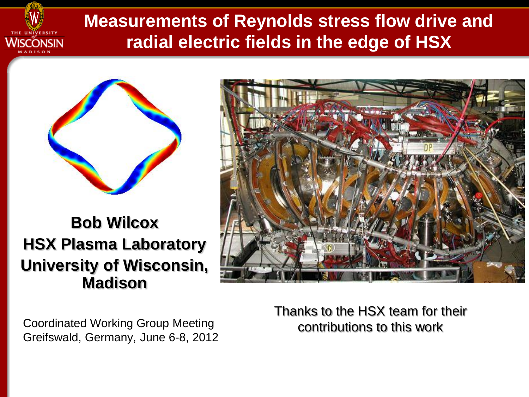

## **Measurements of Reynolds stress flow drive and radial electric fields in the edge of HSX**



**Bob Wilcox HSX Plasma Laboratory University of Wisconsin, Madison**



Coordinated Working Group Meeting contributions to this work Greifswald, Germany, June 6-8, 2012

Thanks to the HSX team for their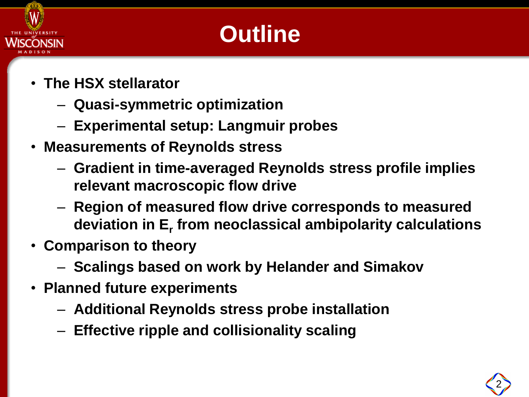

# **Outline**

- **The HSX stellarator**
	- **Quasi-symmetric optimization**
	- **Experimental setup: Langmuir probes**
- **Measurements of Reynolds stress**
	- **Gradient in time-averaged Reynolds stress profile implies relevant macroscopic flow drive**
	- **Region of measured flow drive corresponds to measured deviation in E<sup>r</sup> from neoclassical ambipolarity calculations**
- **Comparison to theory**
	- **Scalings based on work by Helander and Simakov**
- **Planned future experiments**
	- **Additional Reynolds stress probe installation**
	- **Effective ripple and collisionality scaling**

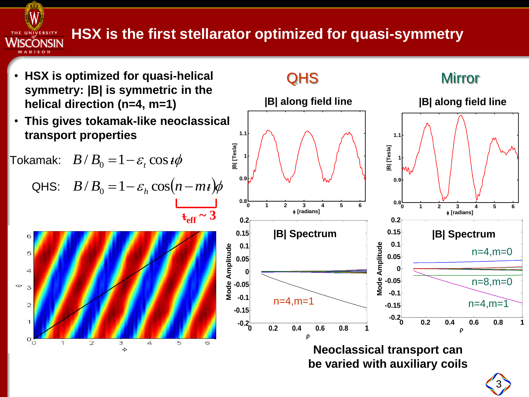## **HSX is the first stellarator optimized for quasi-symmetry**

**W** 

THE UNIVERSITY Wisconsin

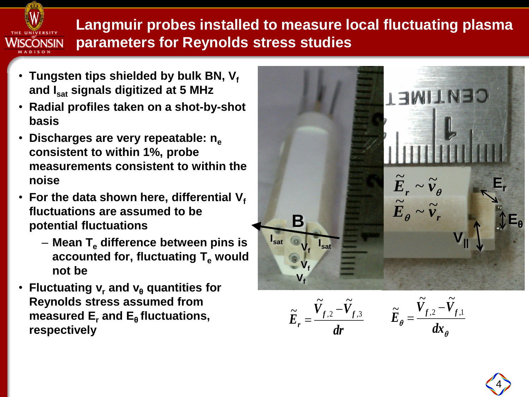

**Langmuir probes installed to measure local fluctuating plasma parameters for Reynolds stress studies**

- **Tungsten tips shielded by bulk BN, V<sup>f</sup> and Isat signals digitized at 5 MHz**
- **Radial profiles taken on a shot-by-shot basis**
- **Discharges are very repeatable: n<sup>e</sup> consistent to within 1%, probe measurements consistent to within the noise**
- For the data shown here, differential  $V_f$ **fluctuations are assumed to be potential fluctuations**
	- **Mean T<sup>e</sup> difference between pins is accounted for, fluctuating T<sup>e</sup> would not be**
- **Fluctuating v<sup>r</sup> and v<sup>θ</sup> quantities for Reynolds stress assumed from measured E<sup>r</sup> and E<sup>θ</sup> fluctuations, respectively**



 $\frac{d\mathbf{r}}{dr}$   $\mathbf{E}_{\theta} =$  $V_{t,2} - V$  $\widetilde{E}_r = \frac{f}{f}$ *r*  $,2$  f,3  $\tilde{v}$   $\tilde{v}$  $\approx$   $V_{f,2}$  –  $=$ 

θ  $\theta$  dx  $V$ <sub>c  $\alpha$ </sub>  $-V$  $\widetilde{E}_a = \frac{f}{f}$ ,  $\frac{f}{f}$ ,  $\frac{f}{f}$  $\sim$   $\sim$  $\sim$   $V_{f2}$   $\sim$ 

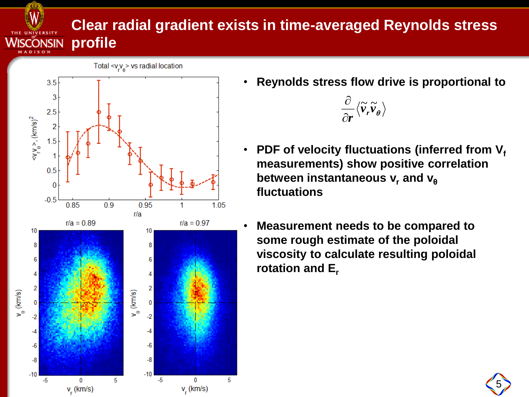### **Clear radial gradient exists in time-averaged Reynolds stress profile**



W.

THE UNIVERSITY WISCONSIN

• **Reynolds stress flow drive is proportional to** 



- **PDF** of velocity fluctuations (inferred from V<sub>f</sub> **measurements) show positive correlation between instantaneous v<sub>r</sub>** and v<sub>θ</sub> **fluctuations**
- **Measurement needs to be compared to some rough estimate of the poloidal viscosity to calculate resulting poloidal rotation and E<sup>r</sup>**

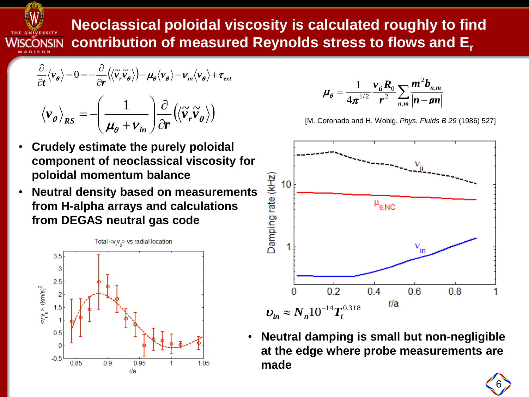

**Neoclassical poloidal viscosity is calculated roughly to find contribution of measured Reynolds stress to flows and E<sup>r</sup>**

$$
\frac{\partial}{\partial t} \langle v_{\theta} \rangle = 0 = -\frac{\partial}{\partial r} (\langle \tilde{v}_{r} \tilde{v}_{\theta} \rangle) - \mu_{\theta} \langle v_{\theta} \rangle - v_{in} \langle v_{\theta} \rangle + \tau_{ext}
$$

$$
\langle v_{\theta} \rangle_{RS} = -\left(\frac{1}{\mu_{\theta} + v_{in}}\right) \frac{\partial}{\partial r} (\langle \tilde{v}_{r} \tilde{v}_{\theta} \rangle)
$$

- **Crudely estimate the purely poloidal component of neoclassical viscosity for poloidal momentum balance**
- **Neutral density based on measurements from H-alpha arrays and calculations from DEGAS neutral gas code**



$$
\mu_{\theta} = \frac{1}{4\pi^{1/2}} \frac{v_{\vec{n}} R_0}{r^2} \sum_{n,m} \frac{m^2 b_{n,m}}{|n - \text{un}|}
$$

[M. Coronado and H. Wobig, *Phys. Fluids B 29* (1986) 527]



• **Neutral damping is small but non-negligible at the edge where probe measurements are**   $\boldsymbol{\nu}_{in} \approx N_n 10^{-14} T_i^{0.318}$ <br>**Neutral damping i<br>at the edge where<br>made** 

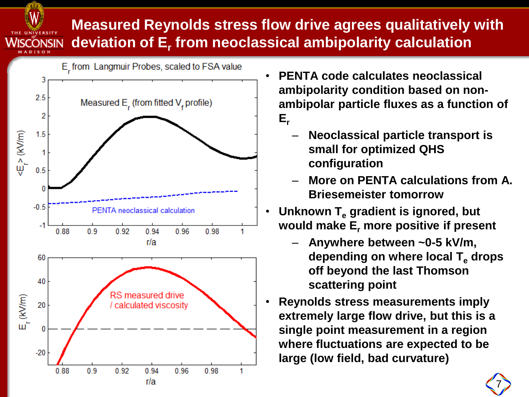#### **Measured Reynolds stress flow drive agrees qualitatively with**  WISCONSIN **deviation of E<sup>r</sup> from neoclassical ambipolarity calculation**



W

- **PENTA code calculates neoclassical ambipolarity condition based on nonambipolar particle fluxes as a function of Er**
	- **Neoclassical particle transport is small for optimized QHS configuration**
	- **More on PENTA calculations from A. Briesemeister tomorrow**
- **Unknown T<sup>e</sup> gradient is ignored, but would make E<sup>r</sup> more positive if present**
	- **Anywhere between ~0-5 kV/m, depending on where local T<sup>e</sup> drops off beyond the last Thomson scattering point**
- **Reynolds stress measurements imply extremely large flow drive, but this is a single point measurement in a region where fluctuations are expected to be large (low field, bad curvature)**

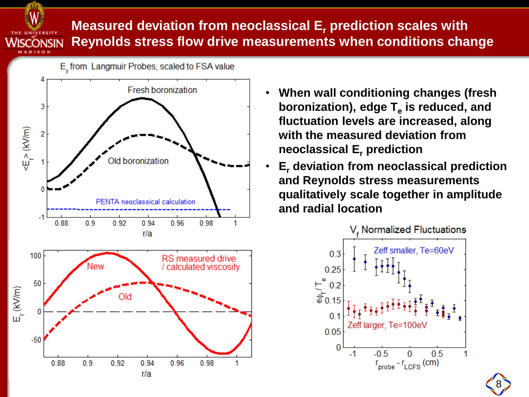Wiscŏnsin **ADISON** 

**Measured deviation from neoclassical E<sup>r</sup> prediction scales with Reynolds stress flow drive measurements when conditions change**

E\_from Langmuir Probes, scaled to FSA value **Fresh boronization** 3  $\leq$   $\geq$  (kV/m)  $\overline{2}$ Old boronization PENTA neoclassical calculation 0.98  $0.9$ 0.92  $0.94$ 0.96 0.88 1 r/a



- **When wall conditioning changes (fresh boronization), edge T<sup>e</sup> is reduced, and fluctuation levels are increased, along with the measured deviation from neoclassical E<sup>r</sup> prediction**
- **E<sup>r</sup> deviation from neoclassical prediction and Reynolds stress measurements qualitatively scale together in amplitude and radial location**



8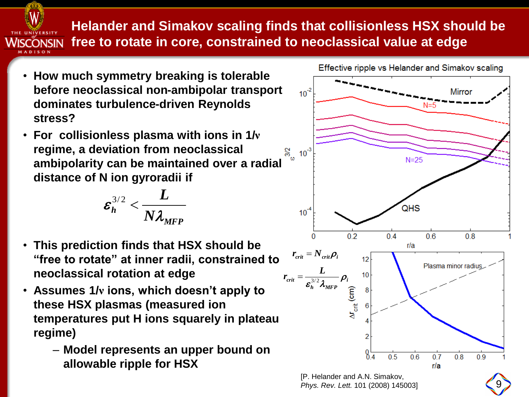

### **Helander and Simakov scaling finds that collisionless HSX should be free to rotate in core, constrained to neoclassical value at edge**

- **How much symmetry breaking is tolerable before neoclassical non-ambipolar transport dominates turbulence-driven Reynolds stress?**
- **For collisionless plasma with ions in 1/ν regime, a deviation from neoclassical ambipolarity can be maintained over a radial distance of N ion gyroradii if**

$$
\boldsymbol{\varepsilon_h^{3/2}}<\frac{L}{N\lambda_{MFP}}
$$

- **This prediction finds that HSX should be "free to rotate" at inner radii, constrained to neoclassical rotation at edge**
- **Assumes 1/ν ions, which doesn't apply to these HSX plasmas (measured ion temperatures put H ions squarely in plateau regime)**
	- **Model represents an upper bound on allowable ripple for HSX**



9

*Phys. Rev. Lett.* 101 (2008) 145003]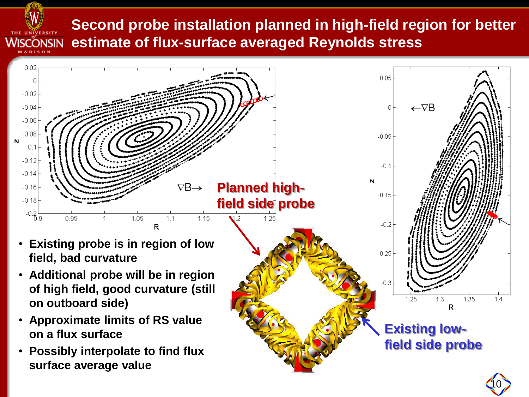#### **Second probe installation planned in high-field region for better estimate of flux-surface averaged Reynolds stress** Wisconsin

AADISON



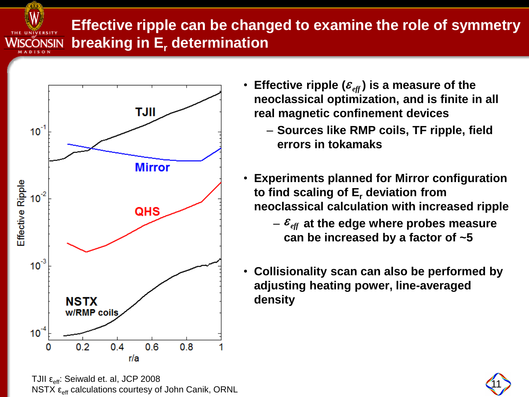

## **Effective ripple can be changed to examine the role of symmetry breaking in E<sup>r</sup> determination**



TJII  $\varepsilon_{\text{eff}}$ : Seiwald et. al, JCP 2008<br>NSTX  $\varepsilon_{\text{eff}}$  calculations courtesy of John Canik, ORNL

- Effective ripple ( $\varepsilon_{\text{\tiny eff}}$ ) is a measure of the **neoclassical optimization, and is finite in all real magnetic confinement devices**
	- **Sources like RMP coils, TF ripple, field errors in tokamaks**
- **Experiments planned for Mirror configuration to find scaling of E<sup>r</sup> deviation from neoclassical calculation with increased ripple**
	- $E_{\text{eff}}$  at the edge where probes measure **can be increased by a factor of ~5**
- **Collisionality scan can also be performed by adjusting heating power, line-averaged density**  $\varepsilon_{eff}$ ) is a measure of the<br>imization, and is finite in all<br>infinement devices<br>RMP coils, TF ripple, field<br>amaks<br>nned for Mirror configuration<br>If E<sub>r</sub> deviation from<br>culation with increased rippl<br>dge where probes measur